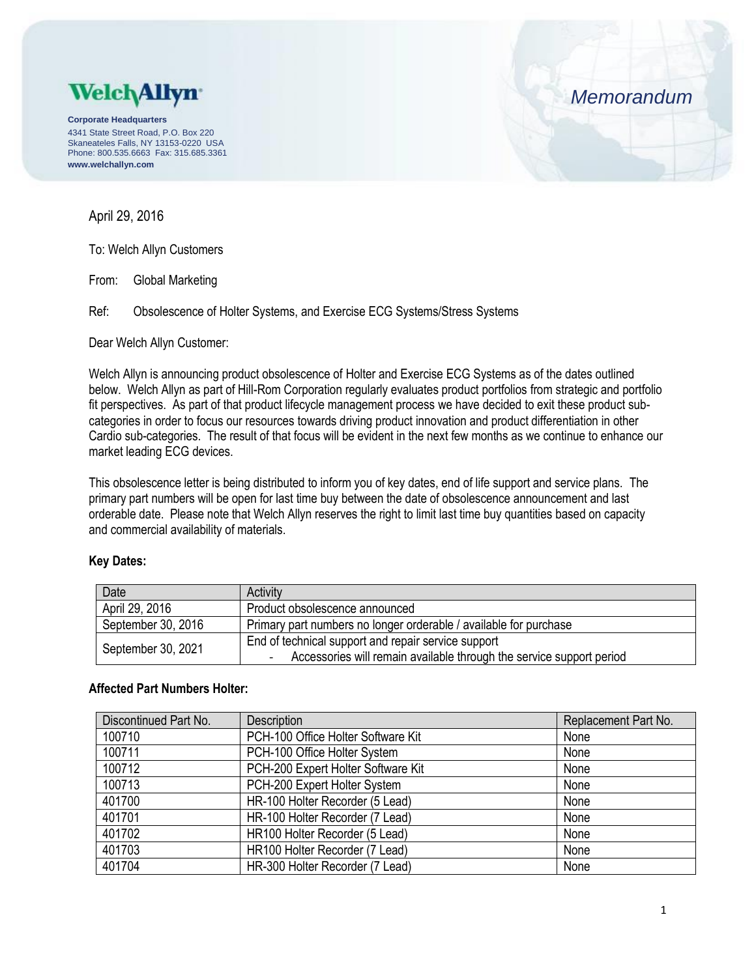

**Corporate Headquarters** 4341 State Street Road, P.O. Box 220 Skaneateles Falls, NY 13153-0220 USA Phone: 800.535.6663 Fax: 315.685.3361 **www.welchallyn.com**

# April 29, 2016

To: Welch Allyn Customers

From: Global Marketing

Ref: Obsolescence of Holter Systems, and Exercise ECG Systems/Stress Systems

Dear Welch Allyn Customer:

Welch Allyn is announcing product obsolescence of Holter and Exercise ECG Systems as of the dates outlined below. Welch Allyn as part of Hill-Rom Corporation regularly evaluates product portfolios from strategic and portfolio fit perspectives. As part of that product lifecycle management process we have decided to exit these product subcategories in order to focus our resources towards driving product innovation and product differentiation in other Cardio sub-categories. The result of that focus will be evident in the next few months as we continue to enhance our market leading ECG devices.

This obsolescence letter is being distributed to inform you of key dates, end of life support and service plans. The primary part numbers will be open for last time buy between the date of obsolescence announcement and last orderable date. Please note that Welch Allyn reserves the right to limit last time buy quantities based on capacity and commercial availability of materials.

### **Key Dates:**

| Date               | Activity                                                             |
|--------------------|----------------------------------------------------------------------|
| April 29, 2016     | Product obsolescence announced                                       |
| September 30, 2016 | Primary part numbers no longer orderable / available for purchase    |
| September 30, 2021 | End of technical support and repair service support                  |
|                    | Accessories will remain available through the service support period |

### **Affected Part Numbers Holter:**

| Discontinued Part No. | <b>Description</b>                 | Replacement Part No. |
|-----------------------|------------------------------------|----------------------|
| 100710                | PCH-100 Office Holter Software Kit | None                 |
| 100711                | PCH-100 Office Holter System       | None                 |
| 100712                | PCH-200 Expert Holter Software Kit | None                 |
| 100713                | PCH-200 Expert Holter System       | None                 |
| 401700                | HR-100 Holter Recorder (5 Lead)    | None                 |
| 401701                | HR-100 Holter Recorder (7 Lead)    | None                 |
| 401702                | HR100 Holter Recorder (5 Lead)     | None                 |
| 401703                | HR100 Holter Recorder (7 Lead)     | None                 |
| 401704                | HR-300 Holter Recorder (7 Lead)    | None                 |

*Memorandum*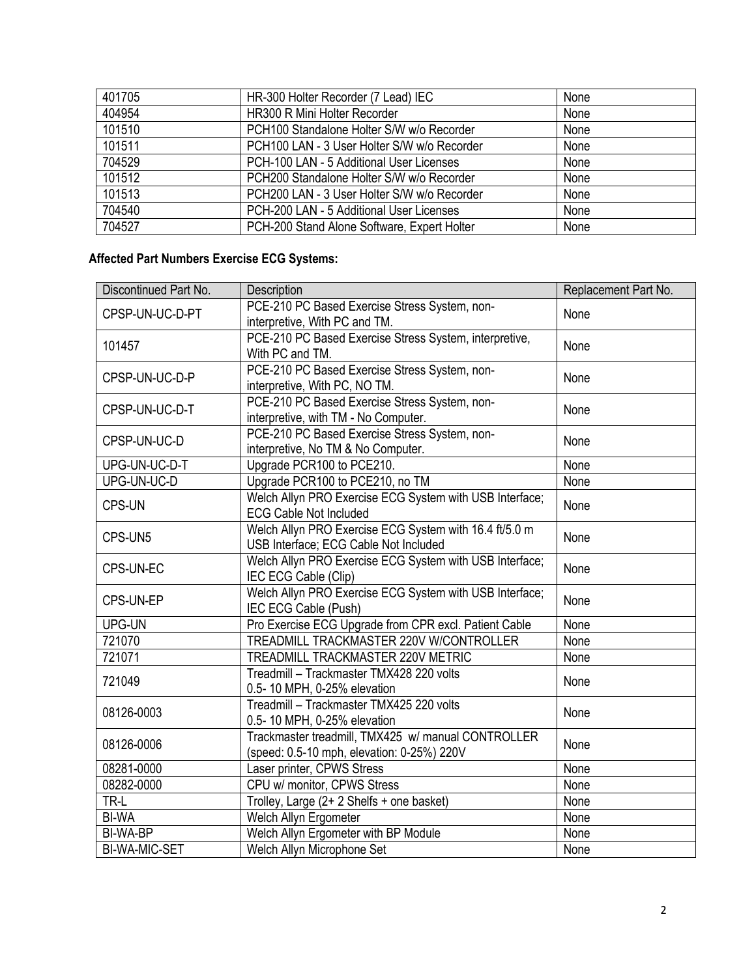| 401705 | HR-300 Holter Recorder (7 Lead) IEC         | None |
|--------|---------------------------------------------|------|
| 404954 | <b>HR300 R Mini Holter Recorder</b>         | None |
| 101510 | PCH100 Standalone Holter S/W w/o Recorder   | None |
| 101511 | PCH100 LAN - 3 User Holter S/W w/o Recorder | None |
| 704529 | PCH-100 LAN - 5 Additional User Licenses    | None |
| 101512 | PCH200 Standalone Holter S/W w/o Recorder   | None |
| 101513 | PCH200 LAN - 3 User Holter S/W w/o Recorder | None |
| 704540 | PCH-200 LAN - 5 Additional User Licenses    | None |
| 704527 | PCH-200 Stand Alone Software, Expert Holter | None |

# **Affected Part Numbers Exercise ECG Systems:**

| Discontinued Part No. | <b>Description</b>                                                                               | Replacement Part No. |
|-----------------------|--------------------------------------------------------------------------------------------------|----------------------|
| CPSP-UN-UC-D-PT       | PCE-210 PC Based Exercise Stress System, non-<br>interpretive, With PC and TM.                   | None                 |
| 101457                | PCE-210 PC Based Exercise Stress System, interpretive,<br>With PC and TM.                        | None                 |
| CPSP-UN-UC-D-P        | PCE-210 PC Based Exercise Stress System, non-<br>interpretive, With PC, NO TM.                   | None                 |
| CPSP-UN-UC-D-T        | PCE-210 PC Based Exercise Stress System, non-<br>interpretive, with TM - No Computer.            | None                 |
| CPSP-UN-UC-D          | PCE-210 PC Based Exercise Stress System, non-<br>interpretive, No TM & No Computer.              | None                 |
| UPG-UN-UC-D-T         | Upgrade PCR100 to PCE210.                                                                        | None                 |
| UPG-UN-UC-D           | Upgrade PCR100 to PCE210, no TM                                                                  | None                 |
| <b>CPS-UN</b>         | Welch Allyn PRO Exercise ECG System with USB Interface;<br><b>ECG Cable Not Included</b>         | None                 |
| CPS-UN5               | Welch Allyn PRO Exercise ECG System with 16.4 ft/5.0 m<br>USB Interface; ECG Cable Not Included  | None                 |
| CPS-UN-EC             | Welch Allyn PRO Exercise ECG System with USB Interface;<br>IEC ECG Cable (Clip)                  | None                 |
| CPS-UN-EP             | Welch Allyn PRO Exercise ECG System with USB Interface;<br>IEC ECG Cable (Push)                  | None                 |
| UPG-UN                | Pro Exercise ECG Upgrade from CPR excl. Patient Cable                                            | None                 |
| 721070                | TREADMILL TRACKMASTER 220V W/CONTROLLER                                                          | None                 |
| 721071                | TREADMILL TRACKMASTER 220V METRIC                                                                | None                 |
| 721049                | Treadmill - Trackmaster TMX428 220 volts<br>0.5-10 MPH, 0-25% elevation                          | None                 |
| 08126-0003            | Treadmill - Trackmaster TMX425 220 volts<br>0.5-10 MPH, 0-25% elevation                          | None                 |
| 08126-0006            | Trackmaster treadmill, TMX425 w/ manual CONTROLLER<br>(speed: 0.5-10 mph, elevation: 0-25%) 220V | None                 |
| 08281-0000            | Laser printer, CPWS Stress                                                                       | None                 |
| 08282-0000            | CPU w/ monitor, CPWS Stress                                                                      | None                 |
| TR-L                  | Trolley, Large (2+2 Shelfs + one basket)                                                         | None                 |
| <b>BI-WA</b>          | Welch Allyn Ergometer                                                                            | None                 |
| BI-WA-BP              | Welch Allyn Ergometer with BP Module                                                             | None                 |
| <b>BI-WA-MIC-SET</b>  | Welch Allyn Microphone Set                                                                       | None                 |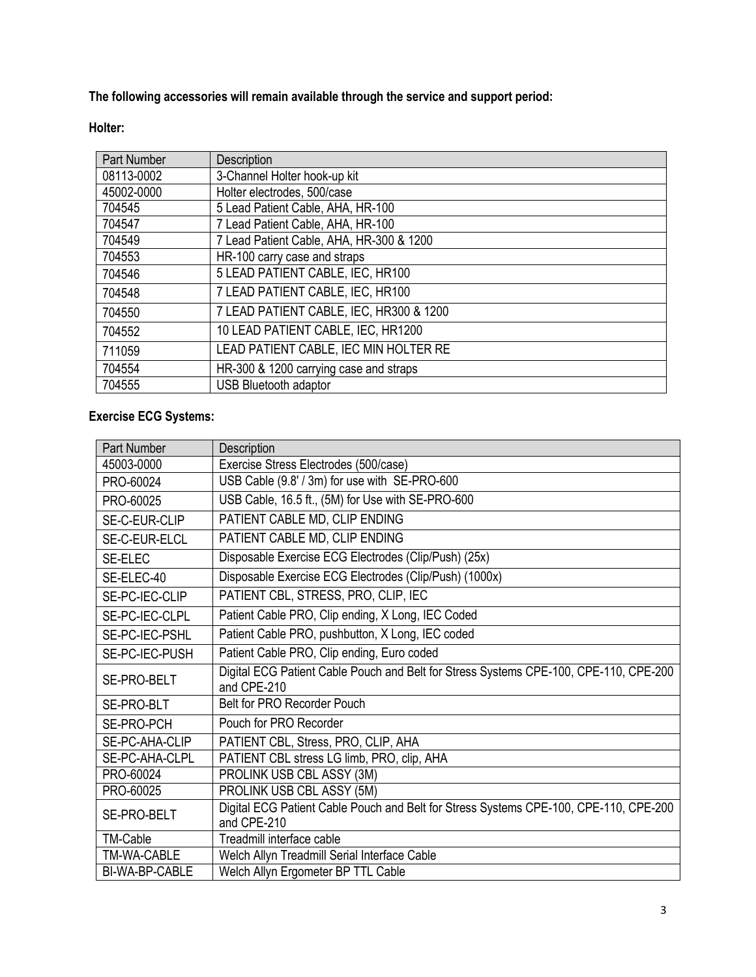**The following accessories will remain available through the service and support period:**

## **Holter:**

| <b>Part Number</b> | <b>Description</b>                       |
|--------------------|------------------------------------------|
| 08113-0002         | 3-Channel Holter hook-up kit             |
| 45002-0000         | Holter electrodes, 500/case              |
| 704545             | 5 Lead Patient Cable, AHA, HR-100        |
| 704547             | 7 Lead Patient Cable, AHA, HR-100        |
| 704549             | 7 Lead Patient Cable, AHA, HR-300 & 1200 |
| 704553             | HR-100 carry case and straps             |
| 704546             | 5 LEAD PATIENT CABLE, IEC, HR100         |
| 704548             | 7 LEAD PATIENT CABLE, IEC, HR100         |
| 704550             | 7 LEAD PATIENT CABLE, IEC, HR300 & 1200  |
| 704552             | 10 LEAD PATIENT CABLE, IEC, HR1200       |
| 711059             | LEAD PATIENT CABLE, IEC MIN HOLTER RE    |
| 704554             | HR-300 & 1200 carrying case and straps   |
| 704555             | <b>USB Bluetooth adaptor</b>             |

## **Exercise ECG Systems:**

| <b>Part Number</b> | Description                                                                                          |
|--------------------|------------------------------------------------------------------------------------------------------|
| 45003-0000         | Exercise Stress Electrodes (500/case)                                                                |
| PRO-60024          | USB Cable (9.8' / 3m) for use with SE-PRO-600                                                        |
| PRO-60025          | USB Cable, 16.5 ft., (5M) for Use with SE-PRO-600                                                    |
| SE-C-EUR-CLIP      | PATIENT CABLE MD, CLIP ENDING                                                                        |
| SE-C-EUR-ELCL      | PATIENT CABLE MD, CLIP ENDING                                                                        |
| SE-ELEC            | Disposable Exercise ECG Electrodes (Clip/Push) (25x)                                                 |
| SE-ELEC-40         | Disposable Exercise ECG Electrodes (Clip/Push) (1000x)                                               |
| SE-PC-IEC-CLIP     | PATIENT CBL, STRESS, PRO, CLIP, IEC                                                                  |
| SE-PC-IEC-CLPL     | Patient Cable PRO, Clip ending, X Long, IEC Coded                                                    |
| SE-PC-IEC-PSHL     | Patient Cable PRO, pushbutton, X Long, IEC coded                                                     |
| SE-PC-IEC-PUSH     | Patient Cable PRO, Clip ending, Euro coded                                                           |
| SE-PRO-BELT        | Digital ECG Patient Cable Pouch and Belt for Stress Systems CPE-100, CPE-110, CPE-200                |
|                    | and CPE-210                                                                                          |
| SE-PRO-BLT         | Belt for PRO Recorder Pouch                                                                          |
| SE-PRO-PCH         | Pouch for PRO Recorder                                                                               |
| SE-PC-AHA-CLIP     | PATIENT CBL, Stress, PRO, CLIP, AHA                                                                  |
| SE-PC-AHA-CLPL     | PATIENT CBL stress LG limb, PRO, clip, AHA                                                           |
| PRO-60024          | PROLINK USB CBL ASSY (3M)                                                                            |
| PRO-60025          | PROLINK USB CBL ASSY (5M)                                                                            |
| SE-PRO-BELT        | Digital ECG Patient Cable Pouch and Belt for Stress Systems CPE-100, CPE-110, CPE-200<br>and CPE-210 |
| <b>TM-Cable</b>    | Treadmill interface cable                                                                            |
| TM-WA-CABLE        | Welch Allyn Treadmill Serial Interface Cable                                                         |
| BI-WA-BP-CABLE     | Welch Allyn Ergometer BP TTL Cable                                                                   |